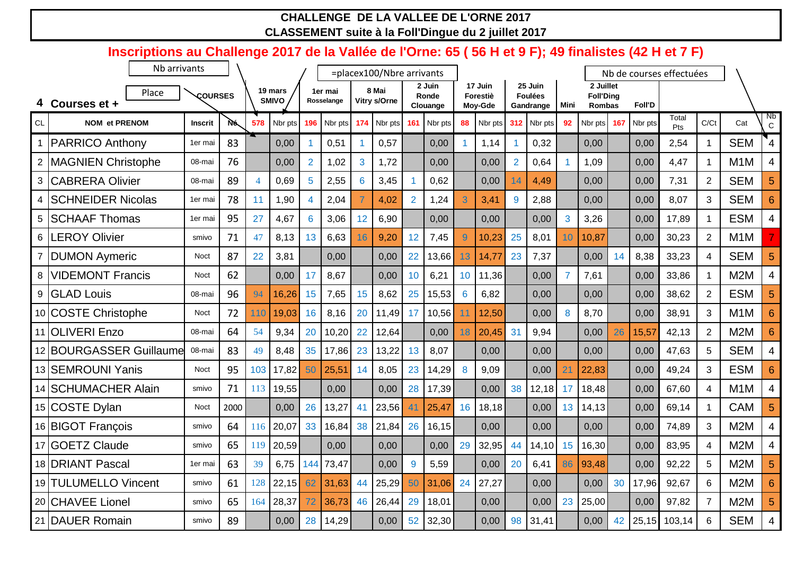## **CHALLENGE DE LA VALLEE DE L'ORNE 2017 CLASSEMENT suite à la Foll'Dingue du 2 juillet 2017**

|                | Inscriptions au Challenge 2017 de la Vallée de l'Orne: 65 (56 H et 9 F); 49 finalistes (42 H et 7 F) |                |           |                |              |                |            |     |                           |                 |                 |                 |                     |                      |                           |                |                               |     |               |                          |                 |                  |                         |
|----------------|------------------------------------------------------------------------------------------------------|----------------|-----------|----------------|--------------|----------------|------------|-----|---------------------------|-----------------|-----------------|-----------------|---------------------|----------------------|---------------------------|----------------|-------------------------------|-----|---------------|--------------------------|-----------------|------------------|-------------------------|
|                | Nb arrivants                                                                                         |                |           |                |              |                |            |     | =placex100/Nbre arrivants |                 |                 |                 |                     |                      |                           |                |                               |     |               | Nb de courses effectuées |                 |                  |                         |
|                | Place                                                                                                | <b>COURSES</b> |           |                | 19 mars      |                | 1er mai    |     | 8 Mai                     |                 | 2 Juin<br>Ronde |                 | 17 Juin<br>Forestiè |                      | 25 Juin<br><b>Foulées</b> |                | 2 Juillet<br><b>Foll'Ding</b> |     |               |                          |                 |                  |                         |
|                | Courses et +                                                                                         |                |           |                | <b>SMIVO</b> |                | Rosselange |     | Vitry s/Orne              |                 | Clouange        |                 | Moy-Gde             |                      | Gandrange                 | Mini           | Rombas                        |     | <b>Foll'D</b> |                          |                 |                  |                         |
| <b>CL</b>      | <b>NOM et PRENOM</b>                                                                                 | Inscrit        | <b>Nó</b> | 578            | Nbr pts      | 196            | Nbr pts    | 174 | Nbr pts                   | 161             | Nbr pts         | 88              | Nbr pts             | 312                  | Nbr pts                   | 92             | Nbr pts                       | 167 | Nbr pts       | Total<br>Pts             | C/Ct            | Cat              | Nb<br>$\mathbf C$       |
|                | <b>PARRICO Anthony</b>                                                                               | 1er mai        | 83        |                | 0,00         |                | 0,51       |     | 0,57                      |                 | 0,00            | 1               | 1,14                | $\blacktriangleleft$ | 0,32                      |                | 0,00                          |     | 0,00          | 2,54                     | $\mathbf{1}$    | <b>SEM</b>       | $\mathbf{4}$            |
| $\overline{2}$ | <b>MAGNIEN Christophe</b>                                                                            | 08-mai         | 76        |                | 0,00         | $\overline{2}$ | 1,02       | 3   | 1,72                      |                 | 0,00            |                 | 0,00                | $\overline{2}$       | 0,64                      |                | 1,09                          |     | 0,00          | 4,47                     | $\mathbf{1}$    | M <sub>1</sub> M | 4                       |
| 3              | <b>CABRERA Olivier</b>                                                                               | 08-mai         | 89        | $\overline{4}$ | 0,69         | 5              | 2,55       | 6   | 3,45                      |                 | 0,62            |                 | 0,00                | 14                   | 4,49                      |                | 0,00                          |     | 0,00          | 7,31                     | $\overline{2}$  | <b>SEM</b>       | 5                       |
| 4              | <b>SCHNEIDER Nicolas</b>                                                                             | 1er mai        | 78        | 11             | 1,90         |                | 2,04       |     | 4,02                      | $\overline{2}$  | 1,24            | $\overline{3}$  | 3,41                | 9                    | 2,88                      |                | 0,00                          |     | 0,00          | 8,07                     | 3               | <b>SEM</b>       | $6\phantom{1}6$         |
| 5              | <b>SCHAAF Thomas</b>                                                                                 | 1er mai        | 95        | 27             | 4,67         | 6              | 3,06       | 12  | 6,90                      |                 | 0,00            |                 | 0,00                |                      | 0,00                      | 3              | 3,26                          |     | 0,00          | 17,89                    | $\mathbf 1$     | <b>ESM</b>       | 4                       |
| 6              | <b>LEROY Olivier</b>                                                                                 | smivo          | 71        | 47             | 8,13         | 13             | 6,63       | 16  | 9,20                      | 12              | 7,45            | $\overline{9}$  | 10,23               | 25                   | 8,01                      | 10             | 10,87                         |     | 0,00          | 30,23                    | $\overline{2}$  | M <sub>1</sub> M |                         |
| $\overline{7}$ | <b>DUMON Aymeric</b>                                                                                 | Noct           | 87        | 22             | 3,81         |                | 0,00       |     | 0,00                      | 22              | 13,66           | 13              | 14,77               | 23                   | 7,37                      |                | 0,00                          | 14  | 8,38          | 33,23                    | $\overline{4}$  | <b>SEM</b>       | 5                       |
| 8              | <b>VIDEMONT Francis</b>                                                                              | Noct           | 62        |                | 0,00         | 17             | 8,67       |     | 0,00                      | 10 <sup>1</sup> | 6,21            | 10              | 11,36               |                      | 0,00                      | $\overline{7}$ | 7,61                          |     | 0,00          | 33,86                    | 1               | M <sub>2</sub> M | 4                       |
| 9              | <b>GLAD Louis</b>                                                                                    | 08-mai         | 96        | 94             | 16,26        | 15             | 7,65       | 15  | 8,62                      | 25              | 15,53           | $6\phantom{1}6$ | 6,82                |                      | 0,00                      |                | 0,00                          |     | 0,00          | 38,62                    | $\overline{2}$  | <b>ESM</b>       | 5                       |
|                | 10 COSTE Christophe                                                                                  | <b>Noct</b>    | 72        | 110            | 19,03        | 16             | 8,16       | 20  | 11,49                     | 17              | 10,56           | 11              | 12,50               |                      | 0,00                      | 8              | 8,70                          |     | 0,00          | 38,91                    | 3               | M <sub>1</sub> M | 6                       |
|                | 11 OLIVERI Enzo                                                                                      | 08-mai         | 64        | 54             | 9,34         | 20             | 10,20      | 22  | 12,64                     |                 | 0,00            | 18              | 20,45               | 31                   | 9,94                      |                | 0,00                          | 26  | 15,57         | 42,13                    | $\overline{2}$  | M2M              | $6\phantom{1}6$         |
|                | 12 BOURGASSER Guillaume                                                                              | 08-mai         | 83        | 49             | 8,48         | 35             | 17,86      | 23  | 13,22                     | 13              | 8,07            |                 | 0,00                |                      | 0,00                      |                | 0,00                          |     | 0,00          | 47,63                    | 5               | <b>SEM</b>       | $\overline{\mathbf{4}}$ |
|                | 13 SEMROUNI Yanis                                                                                    | <b>Noct</b>    | 95        | 103            | 17,82        | 50             | 25,51      | 14  | 8,05                      | 23              | 14,29           | 8               | 9,09                |                      | 0,00                      | 21             | 22,83                         |     | 0,00          | 49,24                    | 3               | <b>ESM</b>       |                         |
|                | 14 SCHUMACHER Alain                                                                                  | smivo          | 71        | 113            | 19,55        |                | 0,00       |     | 0,00                      | 28              | 17,39           |                 | 0,00                | 38                   | 12,18                     | 17             | 18,48                         |     | 0,00          | 67,60                    | $\overline{4}$  | M <sub>1</sub> M | 4                       |
|                | 15 COSTE Dylan                                                                                       | Noct           | 2000      |                | 0,00         | 26             | 13,27      | 41  | 23,56                     | 41              | 25,47           | 16              | 18,18               |                      | 0,00                      | 13             | 14,13                         |     | 0,00          | 69,14                    |                 | <b>CAM</b>       |                         |
|                | 16 BIGOT François                                                                                    | smivo          | 64        | 116            | 20,07        | 33             | 16,84      | 38  | 21,84                     | 26              | 16,15           |                 | 0,00                |                      | 0,00                      |                | 0,00                          |     | 0,00          | 74,89                    | 3               | M <sub>2</sub> M | $\overline{4}$          |
|                | 17 GOETZ Claude                                                                                      | smivo          | 65        | 119            | 20,59        |                | 0,00       |     | 0,00                      |                 | 0,00            | 29              | 32,95               | 44                   | 14,10                     | 15             | 16,30                         |     | 0,00          | 83,95                    | $\overline{4}$  | M <sub>2</sub> M | 4                       |
|                | 18 DRIANT Pascal                                                                                     | 1er mai        | 63        | 39             | 6,75         | 144            | 73,47      |     | 0,00                      | 9               | 5,59            |                 | 0,00                | 20                   | 6,41                      | 86             | 93,48                         |     | 0,00          | 92,22                    | 5               | M <sub>2</sub> M | 5                       |
|                | 19 TULUMELLO Vincent                                                                                 | smivo          | 61        | 128            | 22,15        | 62             | 31,63      | 44  | 25,29                     | 50              | 31,06           | 24              | 27,27               |                      | 0,00                      |                | 0,00                          | 30  | 17,96         | 92,67                    | $6\phantom{1}6$ | M2M              | 6                       |
|                | 20 CHAVEE Lionel                                                                                     | smivo          | 65        | 164            | 28,37        | 72             | 36,73      | 46  | 26,44                     | 29              | 18,01           |                 | 0,00                |                      | 0,00                      | 23             | 25,00                         |     | 0,00          | 97,82                    | $\overline{7}$  | M <sub>2</sub> M | 5                       |
|                | 21 DAUER Romain                                                                                      | smivo          | 89        |                | 0,00         | 28             | 14,29      |     | 0,00                      | 52              | 32,30           |                 | 0,00                | 98                   | 31,41                     |                | 0,00                          | 42  | 25,15         | 103,14                   | 6               | <b>SEM</b>       | 4                       |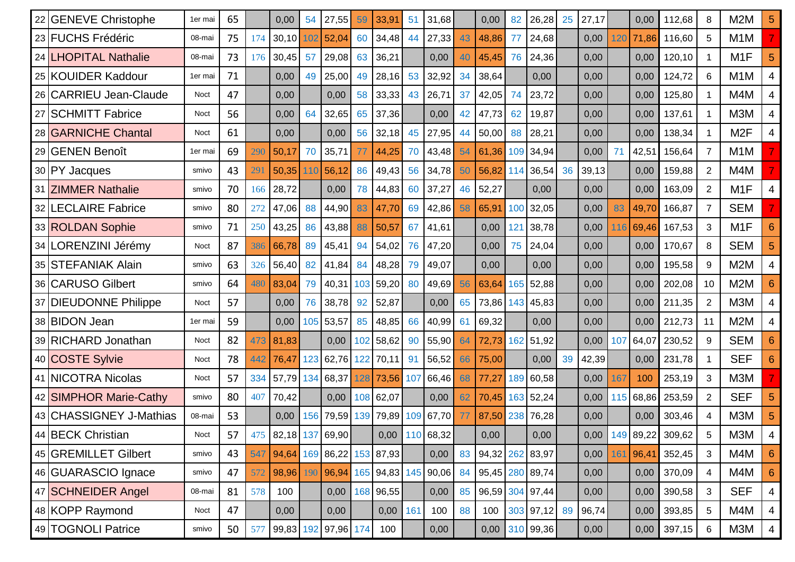| 22 GENEVE Christophe    | 1er mai     | 65 |     | 0,00                          | 54  | 27,55               | 59  | 33,91     | 51  | 31,68                         |    | 0,00  | 82  | 26,28           | 25 | 27,17 |     | 0,00  | 112,68           | 8               | M <sub>2</sub> M | 5               |
|-------------------------|-------------|----|-----|-------------------------------|-----|---------------------|-----|-----------|-----|-------------------------------|----|-------|-----|-----------------|----|-------|-----|-------|------------------|-----------------|------------------|-----------------|
| 23 FUCHS Frédéric       | 08-mai      | 75 | 174 | 30,10                         | 102 | 52,04               | 60  | 34,48     | 44  | 27,33                         | 43 | 48,86 | 77  | 24,68           |    | 0,00  | 120 | 71,86 | 116,60           | 5               | M <sub>1</sub> M |                 |
| 24 LHOPITAL Nathalie    | 08-mai      | 73 | 176 | 30,45                         | 57  | 29,08               | 63  | 36,21     |     | 0,00                          | 40 | 45,45 | 76  | 24,36           |    | 0,00  |     | 0,00  | 120,10           |                 | M <sub>1</sub> F | 5               |
| 25 KOUIDER Kaddour      | 1er mai     | 71 |     | 0,00                          | 49  | 25,00               | 49  | 28,16     | 53  | 32,92                         | 34 | 38,64 |     | 0,00            |    | 0,00  |     | 0,00  | 124,72           | 6               | M <sub>1</sub> M | 4               |
| 26 CARRIEU Jean-Claude  | <b>Noct</b> | 47 |     | 0,00                          |     | 0,00                | 58  | 33,33     | 43  | 26,71                         | 37 | 42,05 | 74  | 23,72           |    | 0,00  |     | 0,00  | 125,80           |                 | M4M              | 4               |
| 27 SCHMITT Fabrice      | <b>Noct</b> | 56 |     | 0,00                          | 64  | 32,65               | 65  | 37,36     |     | 0,00                          | 42 | 47,73 | 62  | 19,87           |    | 0,00  |     | 0,00  | 137,61           |                 | M3M              | 4               |
| 28 GARNICHE Chantal     | <b>Noct</b> | 61 |     | 0,00                          |     | 0,00                | 56  | 32,18     | 45  | 27,95                         | 44 | 50,00 | 88  | 28,21           |    | 0,00  |     | 0,00  | 138,34           |                 | M <sub>2</sub> F |                 |
| 29 GENEN Benoît         | 1er mai     | 69 | 290 | 50,17                         | 70  | 35,71               | 77  | 44,25     | 70  | 43,48                         | 54 | 61,36 | 109 | 34,94           |    | 0,00  |     | 42,51 | 156,64           | $\overline{7}$  | M <sub>1</sub> M |                 |
| 30 PY Jacques           | smivo       | 43 | 291 | 50,35                         | 110 | 56,12               | 86  | 49,43     | 56  | 34,78                         | 50 | 56,82 | 114 | 36,54           | 36 | 39,13 |     | 0,00  | 159,88           | $\overline{2}$  | M4M              |                 |
| 31 ZIMMER Nathalie      | smivo       | 70 | 166 | 28,72                         |     | 0,00                | 78  | 44,83     | 60  | 37,27                         | 46 | 52,27 |     | 0,00            |    | 0,00  |     | 0,00  | 163,09           | $\overline{2}$  | M <sub>1</sub> F |                 |
| 32 LECLAIRE Fabrice     | smivo       | 80 | 272 | 47,06                         | 88  | 44,90               | 83  | 47,70     | 69  | 42,86                         | 58 | 65,91 | 100 | 32,05           |    | 0,00  | 83  | 49,70 | 166,87           | $\overline{7}$  | <b>SEM</b>       |                 |
| 33 ROLDAN Sophie        | smivo       | 71 | 250 | 43,25                         | 86  | 43,88               | 88  | 50,57     | 67  | 41,61                         |    | 0,00  | 121 | 38,78           |    | 0,00  | 116 | 69,46 | 167,53           | 3               | M <sub>1</sub> F | 6               |
| 34 LORENZINI Jérémy     | <b>Noct</b> | 87 | 386 | 66,78                         | 89  | 45,41               | 94  | 54,02     | 76  | 47,20                         |    | 0,00  | 75  | 24,04           |    | 0,00  |     | 0,00  | 170,67           | 8               | <b>SEM</b>       |                 |
| 35 STEFANIAK Alain      | smivo       | 63 | 326 | 56,40                         | 82  | 41,84               | 84  | 48,28     | 79  | 49,07                         |    | 0,00  |     | 0,00            |    | 0,00  |     | 0,00  | 195,58           | 9               | M <sub>2</sub> M | 4               |
| 36 CARUSO Gilbert       | smivo       | 64 | 480 | 83,04                         | 79  | 40,31               | 103 | 59,20     | 80  | 49,69                         | 56 | 63,64 | 165 | 52,88           |    | 0,00  |     | 0,00  | 202,08           | 10              | M <sub>2</sub> M | 6               |
| 37 DIEUDONNE Philippe   | <b>Noct</b> | 57 |     | 0,00                          | 76  | 38,78               | 92  | 52,87     |     | 0,00                          | 65 | 73,86 | 143 | 45,83           |    | 0,00  |     | 0,00  | 211,35           | $\overline{2}$  | M3M              | 4               |
| 38 BIDON Jean           | 1er mai     | 59 |     | 0,00                          | 105 | 53,57               | 85  | 48,85     | 66  | 40,99                         | 61 | 69,32 |     | 0,00            |    | 0,00  |     | 0,00  | 212,73           | 11              | M <sub>2</sub> M | 4               |
| 39 RICHARD Jonathan     | <b>Noct</b> | 82 | 473 | 81,83                         |     | 0,00                | 102 | 58,62     | 90  | 55,90                         | 64 | 72,73 | 162 | 51,92           |    | 0,00  | 107 | 64,07 | 230,52           | 9               | <b>SEM</b>       | 6               |
| 40 COSTE Sylvie         | <b>Noct</b> | 78 | 442 | 76,47                         | 123 | 62,76               | 122 | 70,11     | 91  | 56,52                         | 66 | 75,00 |     | 0,00            | 39 | 42,39 |     | 0,00  | 231,78           |                 | <b>SEF</b>       |                 |
| 41 NICOTRA Nicolas      | <b>Noct</b> | 57 | 334 | 57,79                         |     | 134 68,37           | 128 | 73,56     | 107 | 66,46                         | 68 | 77,27 | 189 | 60,58           |    | 0,00  | 167 | 100   | 253,19           | 3               | M3M              |                 |
| 42 SIMPHOR Marie-Cathy  | smivo       | 80 | 407 | 70,42                         |     | 0,00                | 108 | 62,07     |     | 0,00                          | 62 | 70,45 | 163 | 52,24           |    | 0,00  | 115 | 68,86 | 253,59           | $\overline{2}$  | <b>SEF</b>       | 5               |
| 43 CHASSIGNEY J-Mathias | 08-mai      | 53 |     | 0,00                          | 156 | 79,59               | 139 | 79,89     | 109 | 67,70                         | 77 | 87,50 | 238 | 76,28           |    | 0,00  |     | 0,00  | 303,46           |                 | M3M              |                 |
| 44 BECK Christian       | Noct        | 57 |     | 475 82,18 137 69,90           |     |                     |     |           |     | 0,00 110 68,32                |    | 0,00  |     | 0,00            |    | 0,00  |     |       | 149 89,22 309,62 |                 | МЗМ              |                 |
| 45 GREMILLET Gilbert    | smivo       | 43 |     | 547 94,64 169 86,22 153 87,93 |     |                     |     |           |     | 0,00                          | 83 |       |     | 94,32 262 83,97 |    | 0,00  | 161 | 96,41 | 352,45           | 3               | M4M              | $6\phantom{1}$  |
| 46 GUARASCIO Ignace     | smivo       | 47 | 572 | 98,96                         |     |                     |     |           |     | 190 96,94 165 94,83 145 90,06 | 84 |       |     | 95,45 280 89,74 |    | 0,00  |     | 0,00  | 370,09           | 4               | M4M              | $6\phantom{1}6$ |
| 47 SCHNEIDER Angel      | 08-mai      | 81 | 578 | 100                           |     | 0,00                |     | 168 96,55 |     | 0,00                          | 85 |       |     | 96,59 304 97,44 |    | 0,00  |     | 0,00  | 390,58           | 3               | <b>SEF</b>       | $\overline{4}$  |
| 48 KOPP Raymond         | Noct        | 47 |     | 0,00                          |     | 0,00                |     | 0,00      | 161 | 100                           | 88 | 100   |     | $303$ 97,12     | 89 | 96,74 |     | 0,00  | 393,85           | $5\phantom{.0}$ | M4M              | $\overline{4}$  |
| 49 TOGNOLI Patrice      | smivo       | 50 | 577 |                               |     | 99,83 192 97,96 174 |     | 100       |     | 0,00                          |    | 0,00  |     | 310 99,36       |    | 0,00  |     | 0,00  | 397,15           | 6               | M3M              | $\overline{4}$  |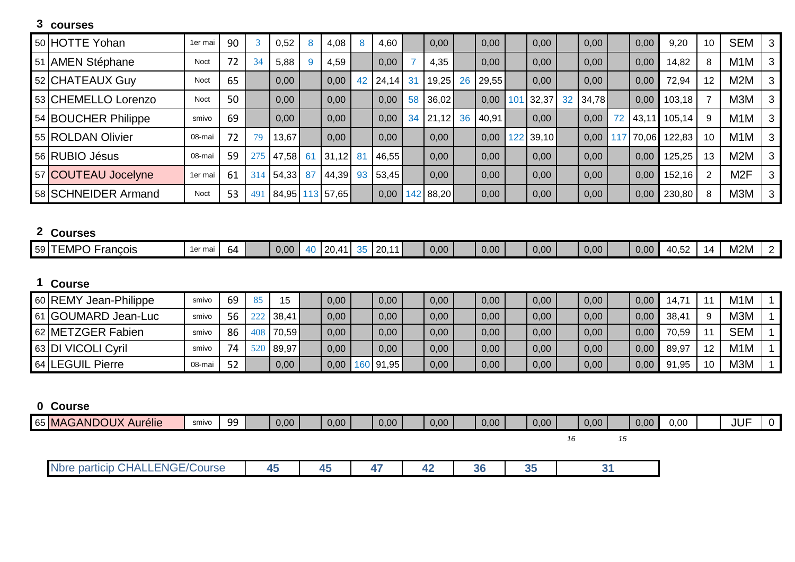# **courses**

| 50 HOTTE Yohan      | 1er mai     | 90 |     | 0,52  |    | 4,08            | 8  | 4,60     |    | 0,00      |    | 0,00  | 0,00      |    | 0,00  |    | 0,00  | 9,20         | 10 | <b>SEM</b>       | 3 |
|---------------------|-------------|----|-----|-------|----|-----------------|----|----------|----|-----------|----|-------|-----------|----|-------|----|-------|--------------|----|------------------|---|
| 51 AMEN Stéphane    | Noct        | 72 | 34  | 5,88  |    | 4,59            |    | 0,00     |    | 4,35      |    | 0,00  | 0,00      |    | 0,00  |    | 0,00  | 14,82        | 8  | M <sub>1</sub> M | 3 |
| 52 CHATEAUX Guy     | <b>Noct</b> | 65 |     | 0,00  |    | 0,00            |    | 42 24,14 | 31 | 19,25     | 26 | 29,55 | 0,00      |    | 0,00  |    | 0,00  | 72,94        | 12 | M <sub>2</sub> M | 3 |
| 53 CHEMELLO Lorenzo | <b>Noct</b> | 50 |     | 0,00  |    | 0,00            |    | 0,00     | 58 | 36,02     |    | 0,00  | 101 32,37 | 32 | 34,78 |    | 0.00  | 103,18       |    | M3M              | 3 |
| 54 BOUCHER Philippe | smivo       | 69 |     | 0,00  |    | 0,00            |    | 0,00     | 34 | 21,12     | 36 | 40,91 | 0,00      |    | 0,00  | 72 |       | 43,11 105,14 |    | M <sub>1</sub> M | 3 |
| 55 ROLDAN Olivier   | 08-mai      | 72 | 79  | 13,67 |    | 0,00            |    | 0,00     |    | 0,00      |    | 0,00  | 122 39,10 |    | 0.00  |    | 70,06 | 122,83       | 10 | M <sub>1</sub> M | 3 |
| 56 RUBIO Jésus      | 08-mai      | 59 |     | 47,58 | 61 | 31,12           | 81 | 46,55    |    | 0,00      |    | 0,00  | 0,00      |    | 0.00  |    | 0,00  | 125,25       | 13 | M <sub>2</sub> M | 3 |
| 57 COUTEAU Jocelyne | 1er mai     | 61 | 314 | 54,33 | 87 | 44,39           |    | 93 53,45 |    | 0,00      |    | 0,00  | 0,00      |    | 0,00  |    | 0,00  | 152,16       |    | M2F              | 3 |
| 58 SCHNEIDER Armand | Noct        | 53 | 49  |       |    | 84,95 113 57,65 |    | 0,00     |    | 142 88,20 |    | 0,00  | 0,00      |    | 0,00  |    | 0,00  | 230,80       | 8  | M <sub>3</sub> M | 3 |

## **Courses**

| $\bullet\bullet\bullet\bullet\bullet\bullet\bullet$ |         |    |      |                                              |                               |      |      |      |      |      |                                               |            |                    |  |
|-----------------------------------------------------|---------|----|------|----------------------------------------------|-------------------------------|------|------|------|------|------|-----------------------------------------------|------------|--------------------|--|
| $59$ TEMPC<br>rancois                               | 1er mai | D4 | 0,00 | $\sim$<br>$\overline{\phantom{a}}$<br>-<br>- | $\overline{A}$<br>$\sim$<br>. | 0,00 | 0,00 | 0,00 | 0,00 | 0,00 | $\Lambda$ $\Lambda$ $\Lambda$ $\sim$<br>t∪.∪∠ | $\sqrt{ }$ | <b>BAOB</b><br>M2M |  |
|                                                     |         |    |      |                                              |                               |      |      |      |      |      |                                               |            |                    |  |

# **Course**

| 60 REMY Jean-Philippe | smivo  | 69 | -85 | 15    | 0,00 | 0,00      | 0,00 | 0,00 | 0,00 | 0,00 | 0,00 | $14.7^{\circ}$ | M <sub>1</sub> M |  |
|-----------------------|--------|----|-----|-------|------|-----------|------|------|------|------|------|----------------|------------------|--|
| 61 GOUMARD Jean-Luc   | smivo  | 56 |     | 38,41 | 0,00 | 0,00      | 0,00 | 0,00 | 0,00 | 0,00 | 0,00 | 38,41          | M <sub>3</sub> M |  |
| 62 METZGER Fabien     | smivo  | 86 | 408 | 70,59 | 0,00 | 0,00      | 0,00 | 0,00 | 0,00 | 0,00 | 0,00 | 70,59          | <b>SEM</b>       |  |
| 63 DI VICOLI Cyril    | smivo  | 74 |     | 89,97 | 0,00 | 0,00      | 0,00 | 0,00 | 0,00 | 0,00 | 0,00 | 89,97          | M <sub>1</sub> M |  |
| 64 LEGUIL Pierre      | 08-mai | 52 |     | 0,00  | 0,00 | 160 91,95 | 0,00 | 0,00 | 0,00 | 0,00 | 0,00 | 91,95          | M <sub>3</sub> M |  |

## **Course**

| 65 MAGANDOUX Aurélie | smivo | 99 | 0,00 | 0,00 | 0,00 | 0,00 | 0,00 | 0,00 | 0,00 | 0,00 | 0,00 | <b>JUF</b> | . . |
|----------------------|-------|----|------|------|------|------|------|------|------|------|------|------------|-----|
|                      |       |    |      |      |      |      |      |      |      |      |      |            |     |
|                      |       |    |      |      |      |      |      |      |      |      |      |            |     |

| <b>ENGE/Co</b><br>$\mathbf{v}$<br><b>'Course</b><br>particip<br><b>Nbre</b><br>' Dal<br>י ברי<br>$\sim$ | __ | . | . . |  |
|---------------------------------------------------------------------------------------------------------|----|---|-----|--|
|                                                                                                         |    |   |     |  |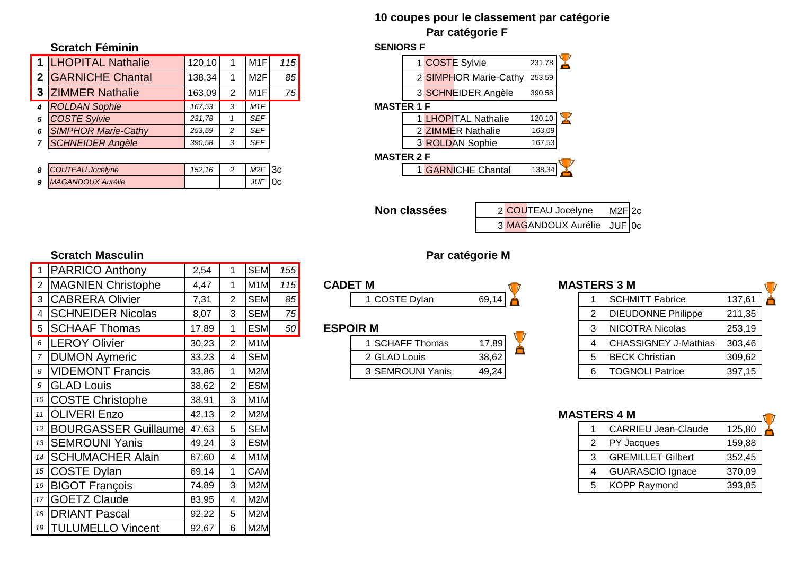### **10 coupes pour le classement par catégorie Par catégorie F**

#### **Scratch Féminin SENIORS F**

|   | 1   LHOPITAL Nathalie      | 120, 10 |   | M <sub>1</sub> F | 115 |
|---|----------------------------|---------|---|------------------|-----|
|   | 2 GARNICHE Chantal         | 138,34  |   | M2F              | 85  |
| 3 | <b>ZIMMER Nathalie</b>     | 163,09  | 2 | M1F              | 75  |
|   | <b>ROLDAN Sophie</b>       | 167,53  | 3 | M1F              |     |
| 5 | <b>COSTE Sylvie</b>        | 231,78  |   | <b>SEF</b>       |     |
| 6 | <b>SIMPHOR Marie-Cathy</b> | 253,59  | 2 | <b>SEF</b>       |     |
|   | <b>SCHNEIDER Angèle</b>    | 390,58  | 3 | <b>SEF</b>       |     |

| 8 COUTEAU Jocelyne  | 152.16 | $M2F$ 3c   |  |
|---------------------|--------|------------|--|
| 9 MAGANDOUX Aurélie |        | $JUF$ $OC$ |  |

#### $\mathbf{Y}$ 1 **COSTE Sylvie** 231,78 2 SIMPHOR Marie-Cathy 253,59 3 SCHNEIDER Angèle 390,58 *4 ROLDAN Sophie 167,53 3 M1F* **MASTER 1 F** Y *5 COSTE Sylvie 231,78 1 SEF* 1 LHOPITAL Nathalie 120,10 *6 SIMPHOR Marie-Cathy 253,59 2 SEF* 2 ZIMMER Nathalie 163,09 *7 SCHNEIDER Angèle 390,58 3 SEF* 3 ROLDAN Sophie 167,53 **MASTER 2 F** *8 <i>CARNICHE Chantal* **138,34**

**Non classées** 2 COUTEAU Jocelyne M2F 2c 3 MAGANDOUX Aurélie JUF 0c

### **Scratch Masculin Par catégorie M**

|    | <b>PARRICO Anthony</b>      | 2,54  |   | <b>SEM</b>       | 155             |                      |       |  |    |                             |        |
|----|-----------------------------|-------|---|------------------|-----------------|----------------------|-------|--|----|-----------------------------|--------|
|    | <b>MAGNIEN Christophe</b>   | 4,47  |   | M <sub>1</sub> M | 115             | <b>CADET M</b>       |       |  |    | <b>MASTERS 3 M</b>          |        |
|    | 3 CABRERA Olivier           | 7,31  |   | <b>SEM</b>       | 85              | <b>COSTE Dylan</b>   | 69,14 |  |    | <b>SCHMITT Fabrice</b>      | 137,61 |
|    | 4 SCHNEIDER Nicolas         | 8,07  | 3 | <b>SEM</b>       | 75              |                      |       |  |    | <b>DIEUDONNE Philippe</b>   | 211,35 |
|    | 5 SCHAAF Thomas             | 17,89 |   | <b>ESM</b>       | 50 <sup>°</sup> | <b>ESPOIR M</b>      |       |  |    | <b>NICOTRA Nicolas</b>      | 253,19 |
|    | 6   LEROY Olivier           | 30,23 |   | M <sub>1</sub> M |                 | <b>SCHAFF Thomas</b> | 17,89 |  | 4  | <b>CHASSIGNEY J-Mathias</b> | 303,46 |
|    | <b>DUMON Aymeric</b>        | 33,23 |   | <b>SEM</b>       |                 | 2 GLAD Louis         | 38,62 |  | 5  | <b>BECK Christian</b>       | 309,62 |
|    | 8   VIDEMONT Francis        | 33,86 |   | M2M              |                 | 3 SEMROUNI Yanis     | 49,24 |  | 6  | <b>TOGNOLI Patrice</b>      | 397,15 |
|    |                             |       |   |                  |                 |                      |       |  |    |                             |        |
|    | 9 GLAD Louis                | 38,62 |   | <b>ESM</b>       |                 |                      |       |  |    |                             |        |
|    | 10 COSTE Christophe         | 38,91 |   | M1M              |                 |                      |       |  |    |                             |        |
|    | 11 OLIVERI Enzo             | 42,13 |   | M2M              |                 |                      |       |  |    | <b>MASTERS 4 M</b>          |        |
| 12 | <b>BOURGASSER Guillaume</b> | 47,63 |   | <b>SEM</b>       |                 |                      |       |  |    | <b>CARRIEU Jean-Claude</b>  | 125,80 |
|    | 13 SEMROUNI Yanis           | 49,24 |   | <b>ESM</b>       |                 |                      |       |  | 2  | PY Jacques                  | 159,88 |
|    | 14 SCHUMACHER Alain         | 67,60 |   | M <sub>1</sub> M |                 |                      |       |  | 3  | <b>GREMILLET Gilbert</b>    | 352,45 |
|    | 15 COSTE Dylan              | 69,14 |   | <b>CAM</b>       |                 |                      |       |  |    | <b>GUARASCIO Ignace</b>     | 370,09 |
| 16 | <b>BIGOT François</b>       | 74,89 | 3 | M2M              |                 |                      |       |  | 5. | <b>KOPP Raymond</b>         | 393,85 |
|    | <b>GOETZ Claude</b>         | 83,95 |   | M2M              |                 |                      |       |  |    |                             |        |
| 18 | <b>DRIANT Pascal</b>        | 92,22 |   | M2M              |                 |                      |       |  |    |                             |        |

| $55^{\circ}$            |                 |       |                    |
|-------------------------|-----------------|-------|--------------------|
| $\sqrt{5}$              | <b>CADET M</b>  |       | <b>MASTERS 3 M</b> |
| $\overline{\mathbf{5}}$ | 1 COSTE Dylan   | 69,14 | <b>SCHM</b>        |
| $\overline{5}$          |                 |       | <b>DIEUD</b>       |
| 50                      | <b>ESPOIR M</b> | ы     | <b>NICOT</b>       |

|   | <b>SCHMITT Fabrice</b>      | 137,61 |
|---|-----------------------------|--------|
| 2 | <b>DIEUDONNE Philippe</b>   | 211,35 |
| 3 | NICOTRA Nicolas             | 253,19 |
| 4 | <b>CHASSIGNEY J-Mathias</b> | 303,46 |
| 5 | <b>BECK Christian</b>       | 309,62 |
| ี | <b>TOGNOLI Patrice</b>      | 397,15 |

# **MASTERS 4 M** 1 CARRIEU Jean-Claude 125,80 14 GREMILLET Gilbert 352,45 4 GUARASCIO Ignace 370,09 16 BIGOT BIGOT **Francisco Francisco 393,85**